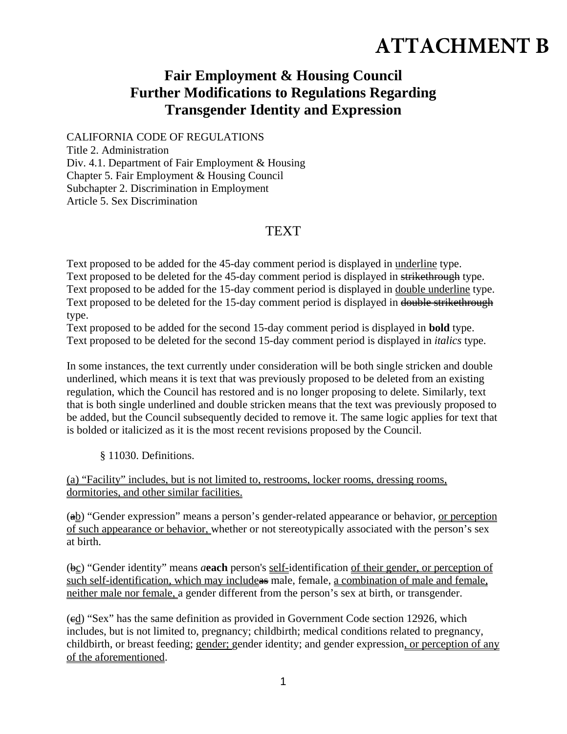## **ATTACHMENT B**

## **Fair Employment & Housing Council Further Modifications to Regulations Regarding Transgender Identity and Expression**

CALIFORNIA CODE OF REGULATIONS Title 2. Administration Div. 4.1. Department of Fair Employment & Housing Chapter 5. Fair Employment & Housing Council Subchapter 2. Discrimination in Employment Article 5. Sex Discrimination

## **TEXT**

Text proposed to be added for the 45-day comment period is displayed in underline type. Text proposed to be deleted for the 45-day comment period is displayed in strikethrough type. Text proposed to be added for the 15-day comment period is displayed in double underline type. Text proposed to be deleted for the 15-day comment period is displayed in double strikethrough type.

Text proposed to be added for the second 15-day comment period is displayed in **bold** type. Text proposed to be deleted for the second 15-day comment period is displayed in *italics* type.

In some instances, the text currently under consideration will be both single stricken and double underlined, which means it is text that was previously proposed to be deleted from an existing regulation, which the Council has restored and is no longer proposing to delete. Similarly, text that is both single underlined and double stricken means that the text was previously proposed to be added, but the Council subsequently decided to remove it. The same logic applies for text that is bolded or italicized as it is the most recent revisions proposed by the Council.

§ 11030. Definitions.

(a) "Facility" includes, but is not limited to, restrooms, locker rooms, dressing rooms, dormitories, and other similar facilities.

(ab) "Gender expression" means a person's gender-related appearance or behavior, or perception of such appearance or behavior, whether or not stereotypically associated with the person's sex at birth.

(bc) "Gender identity" means *a***each** person's self-identification of their gender, or perception of such self-identification, which may include as male, female, a combination of male and female, neither male nor female, a gender different from the person's sex at birth, or transgender.

 $\left(\frac{ed}{ed}\right)$  "Sex" has the same definition as provided in Government Code section 12926, which includes, but is not limited to, pregnancy; childbirth; medical conditions related to pregnancy, childbirth, or breast feeding; gender; gender identity; and gender expression, or perception of any of the aforementioned.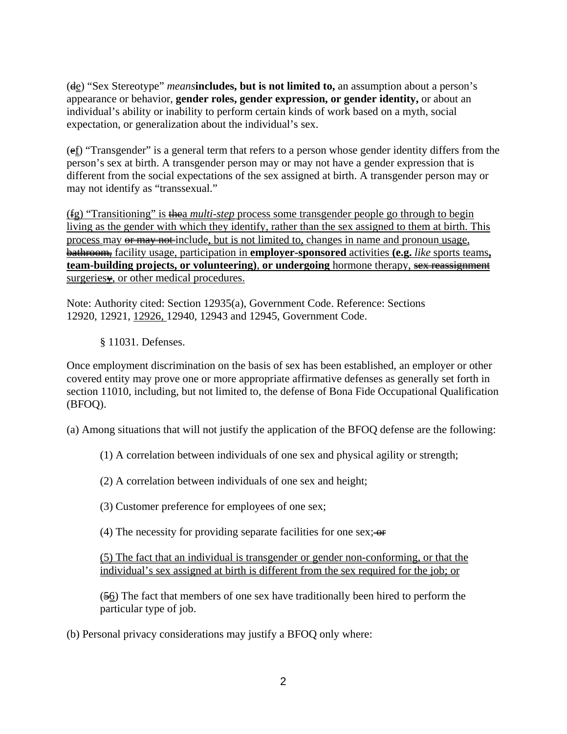(de) "Sex Stereotype" *means***includes, but is not limited to,** an assumption about a person's appearance or behavior, **gender roles, gender expression, or gender identity,** or about an individual's ability or inability to perform certain kinds of work based on a myth, social expectation, or generalization about the individual's sex.

 $(e<sub>f</sub>)$  "Transgender" is a general term that refers to a person whose gender identity differs from the person's sex at birth. A transgender person may or may not have a gender expression that is different from the social expectations of the sex assigned at birth. A transgender person may or may not identify as "transsexual."

(fg) "Transitioning" is thea *multi-step* process some transgender people go through to begin living as the gender with which they identify, rather than the sex assigned to them at birth. This process may or may not include, but is not limited to, changes in name and pronoun usage, bathroom, facility usage, participation in **employer-sponsored** activities **(e.g.** *like* sports teams**, team-building projects, or volunteering)**, **or undergoing** hormone therapy, sex reassignment surgeries<sub>\*</sub>, or other medical procedures.

Note: Authority cited: Section 12935(a), Government Code. Reference: Sections 12920, 12921, 12926, 12940, 12943 and 12945, Government Code.

§ 11031. Defenses.

Once employment discrimination on the basis of sex has been established, an employer or other covered entity may prove one or more appropriate affirmative defenses as generally set forth in section 11010, including, but not limited to, the defense of Bona Fide Occupational Qualification (BFOQ).

(a) Among situations that will not justify the application of the BFOQ defense are the following:

(1) A correlation between individuals of one sex and physical agility or strength;

(2) A correlation between individuals of one sex and height;

- (3) Customer preference for employees of one sex;
- (4) The necessity for providing separate facilities for one sex;  $\Theta$

(5) The fact that an individual is transgender or gender non-conforming, or that the individual's sex assigned at birth is different from the sex required for the job; or

 $(56)$  The fact that members of one sex have traditionally been hired to perform the particular type of job.

(b) Personal privacy considerations may justify a BFOQ only where: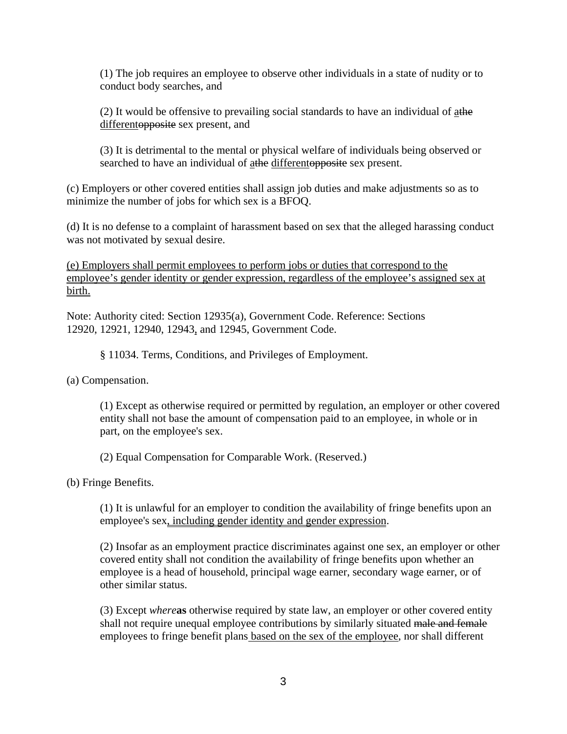(1) The job requires an employee to observe other individuals in a state of nudity or to conduct body searches, and

(2) It would be offensive to prevailing social standards to have an individual of  $\frac{a}{a}$ the differento *pposite* sex present, and

(3) It is detrimental to the mental or physical welfare of individuals being observed or searched to have an individual of athe differentopposite sex present.

(c) Employers or other covered entities shall assign job duties and make adjustments so as to minimize the number of jobs for which sex is a BFOQ.

(d) It is no defense to a complaint of harassment based on sex that the alleged harassing conduct was not motivated by sexual desire.

(e) Employers shall permit employees to perform jobs or duties that correspond to the employee's gender identity or gender expression, regardless of the employee's assigned sex at birth.

Note: Authority cited: Section 12935(a), Government Code. Reference: Sections 12920, 12921, 12940, 12943, and 12945, Government Code.

§ 11034. Terms, Conditions, and Privileges of Employment.

(a) Compensation.

(1) Except as otherwise required or permitted by regulation, an employer or other covered entity shall not base the amount of compensation paid to an employee, in whole or in part, on the employee's sex.

(2) Equal Compensation for Comparable Work. (Reserved.)

(b) Fringe Benefits.

(1) It is unlawful for an employer to condition the availability of fringe benefits upon an employee's sex, including gender identity and gender expression.

(2) Insofar as an employment practice discriminates against one sex, an employer or other covered entity shall not condition the availability of fringe benefits upon whether an employee is a head of household, principal wage earner, secondary wage earner, or of other similar status.

(3) Except *where***as** otherwise required by state law, an employer or other covered entity shall not require unequal employee contributions by similarly situated male and female employees to fringe benefit plans based on the sex of the employee, nor shall different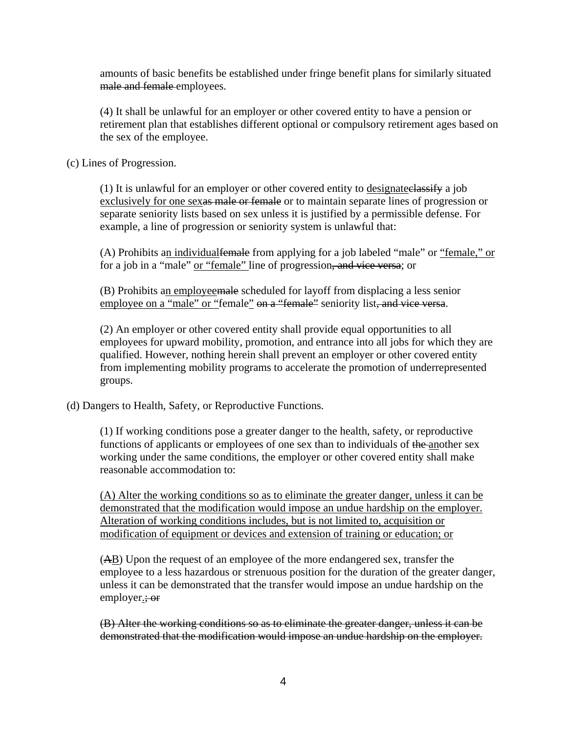amounts of basic benefits be established under fringe benefit plans for similarly situated male and female employees.

(4) It shall be unlawful for an employer or other covered entity to have a pension or retirement plan that establishes different optional or compulsory retirement ages based on the sex of the employee.

(c) Lines of Progression.

(1) It is unlawful for an employer or other covered entity to designateclassify a job exclusively for one sexas male or female or to maintain separate lines of progression or separate seniority lists based on sex unless it is justified by a permissible defense. For example, a line of progression or seniority system is unlawful that:

(A) Prohibits an individual female from applying for a job labeled "male" or "female," or for a job in a "male" or "female" line of progression, and vice versa; or

(B) Prohibits an employeemale scheduled for layoff from displacing a less senior employee on a "male" or "female" on a "female" seniority list, and vice versa.

(2) An employer or other covered entity shall provide equal opportunities to all employees for upward mobility, promotion, and entrance into all jobs for which they are qualified. However, nothing herein shall prevent an employer or other covered entity from implementing mobility programs to accelerate the promotion of underrepresented groups.

(d) Dangers to Health, Safety, or Reproductive Functions.

(1) If working conditions pose a greater danger to the health, safety, or reproductive functions of applicants or employees of one sex than to individuals of the another sex working under the same conditions, the employer or other covered entity shall make reasonable accommodation to:

(A) Alter the working conditions so as to eliminate the greater danger, unless it can be demonstrated that the modification would impose an undue hardship on the employer. Alteration of working conditions includes, but is not limited to, acquisition or modification of equipment or devices and extension of training or education; or

(AB) Upon the request of an employee of the more endangered sex, transfer the employee to a less hazardous or strenuous position for the duration of the greater danger, unless it can be demonstrated that the transfer would impose an undue hardship on the employer.; or

(B) Alter the working conditions so as to eliminate the greater danger, unless it can be demonstrated that the modification would impose an undue hardship on the employer.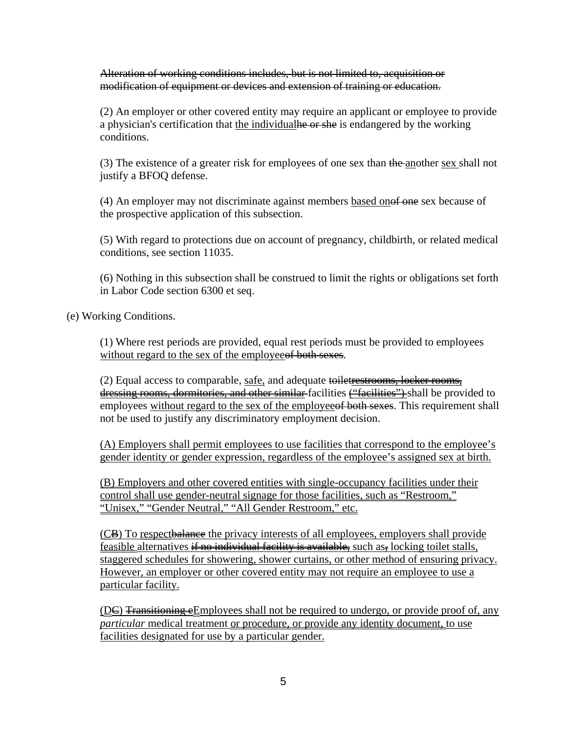Alteration of working conditions includes, but is not limited to, acquisition or modification of equipment or devices and extension of training or education.

(2) An employer or other covered entity may require an applicant or employee to provide a physician's certification that the individual he or she is endangered by the working conditions.

(3) The existence of a greater risk for employees of one sex than the another sex shall not justify a BFOQ defense.

(4) An employer may not discriminate against members based onof one sex because of the prospective application of this subsection.

(5) With regard to protections due on account of pregnancy, childbirth, or related medical conditions, see section 11035.

(6) Nothing in this subsection shall be construed to limit the rights or obligations set forth in Labor Code section 6300 et seq.

(e) Working Conditions.

(1) Where rest periods are provided, equal rest periods must be provided to employees without regard to the sex of the employee of both sexes.

(2) Equal access to comparable, safe, and adequate toiletrestrooms, locker rooms, dressing rooms, dormitories, and other similar-facilities ("facilities") shall be provided to employees without regard to the sex of the employee of both sexes. This requirement shall not be used to justify any discriminatory employment decision.

(A) Employers shall permit employees to use facilities that correspond to the employee's gender identity or gender expression, regardless of the employee's assigned sex at birth.

(B) Employers and other covered entities with single-occupancy facilities under their control shall use gender-neutral signage for those facilities, such as "Restroom," "Unisex," "Gender Neutral," "All Gender Restroom," etc.

(CB) To respectbalance the privacy interests of all employees, employers shall provide feasible alternatives if no individual facility is available, such as, locking toilet stalls, staggered schedules for showering, shower curtains, or other method of ensuring privacy. However, an employer or other covered entity may not require an employee to use a particular facility.

 $(\underline{D}\underline{\epsilon})$  Transitioning eEmployees shall not be required to undergo, or provide proof of, any *particular* medical treatment <u>or procedure</u>, or provide any identity document, to use facilities designated for use by a particular gender.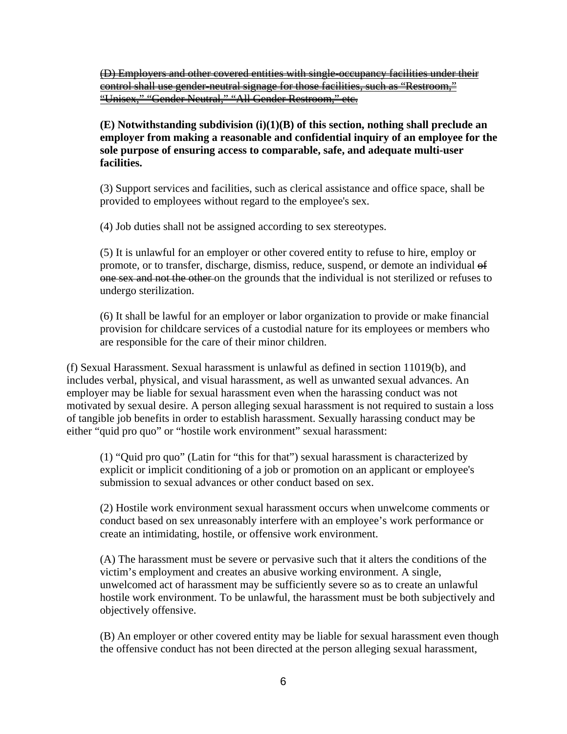(D) Employers and other covered entities with single-occupancy facilities under their control shall use gender-neutral signage for those facilities, such as "Restroom," "Unisex," "Gender Neutral," "All Gender Restroom," etc.

**(E) Notwithstanding subdivision (i)(1)(B) of this section, nothing shall preclude an employer from making a reasonable and confidential inquiry of an employee for the sole purpose of ensuring access to comparable, safe, and adequate multi-user facilities.** 

(3) Support services and facilities, such as clerical assistance and office space, shall be provided to employees without regard to the employee's sex.

(4) Job duties shall not be assigned according to sex stereotypes.

(5) It is unlawful for an employer or other covered entity to refuse to hire, employ or promote, or to transfer, discharge, dismiss, reduce, suspend, or demote an individual of one sex and not the other on the grounds that the individual is not sterilized or refuses to undergo sterilization.

(6) It shall be lawful for an employer or labor organization to provide or make financial provision for childcare services of a custodial nature for its employees or members who are responsible for the care of their minor children.

(f) Sexual Harassment. Sexual harassment is unlawful as defined in section 11019(b), and includes verbal, physical, and visual harassment, as well as unwanted sexual advances. An employer may be liable for sexual harassment even when the harassing conduct was not motivated by sexual desire. A person alleging sexual harassment is not required to sustain a loss of tangible job benefits in order to establish harassment. Sexually harassing conduct may be either "quid pro quo" or "hostile work environment" sexual harassment:

(1) "Quid pro quo" (Latin for "this for that") sexual harassment is characterized by explicit or implicit conditioning of a job or promotion on an applicant or employee's submission to sexual advances or other conduct based on sex.

(2) Hostile work environment sexual harassment occurs when unwelcome comments or conduct based on sex unreasonably interfere with an employee's work performance or create an intimidating, hostile, or offensive work environment.

(A) The harassment must be severe or pervasive such that it alters the conditions of the victim's employment and creates an abusive working environment. A single, unwelcomed act of harassment may be sufficiently severe so as to create an unlawful hostile work environment. To be unlawful, the harassment must be both subjectively and objectively offensive.

(B) An employer or other covered entity may be liable for sexual harassment even though the offensive conduct has not been directed at the person alleging sexual harassment,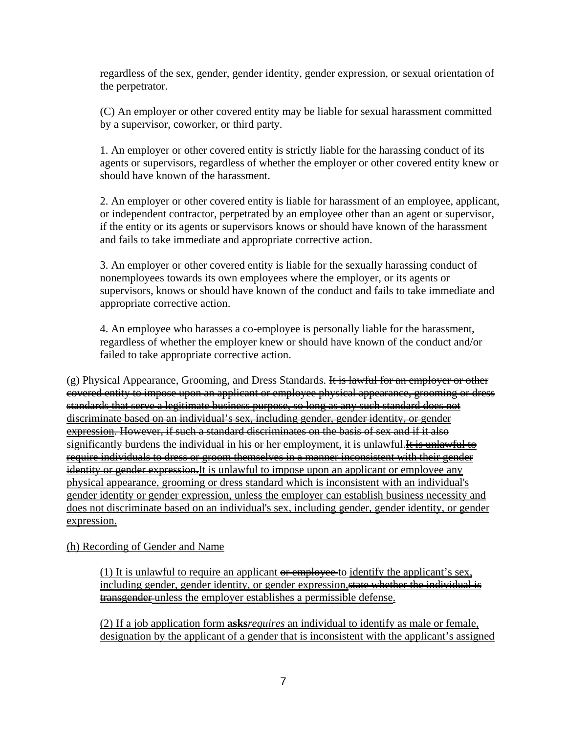regardless of the sex, gender, gender identity, gender expression, or sexual orientation of the perpetrator.

(C) An employer or other covered entity may be liable for sexual harassment committed by a supervisor, coworker, or third party.

1. An employer or other covered entity is strictly liable for the harassing conduct of its agents or supervisors, regardless of whether the employer or other covered entity knew or should have known of the harassment.

2. An employer or other covered entity is liable for harassment of an employee, applicant, or independent contractor, perpetrated by an employee other than an agent or supervisor, if the entity or its agents or supervisors knows or should have known of the harassment and fails to take immediate and appropriate corrective action.

3. An employer or other covered entity is liable for the sexually harassing conduct of nonemployees towards its own employees where the employer, or its agents or supervisors, knows or should have known of the conduct and fails to take immediate and appropriate corrective action.

4. An employee who harasses a co-employee is personally liable for the harassment, regardless of whether the employer knew or should have known of the conduct and/or failed to take appropriate corrective action.

(g) Physical Appearance, Grooming, and Dress Standards. It is lawful for an employer or other covered entity to impose upon an applicant or employee physical appearance, grooming or dress standards that serve a legitimate business purpose, so long as any such standard does not discriminate based on an individual's sex, including gender, gender identity, or gender expression. However, if such a standard discriminates on the basis of sex and if it also significantly burdens the individual in his or her employment, it is unlawful. It is unlawful to require individuals to dress or groom themselves in a manner inconsistent with their gender identity or gender expression. It is unlawful to impose upon an applicant or employee any physical appearance, grooming or dress standard which is inconsistent with an individual's gender identity or gender expression, unless the employer can establish business necessity and does not discriminate based on an individual's sex, including gender, gender identity, or gender expression.

(h) Recording of Gender and Name

(1) It is unlawful to require an applicant  $\theta$  example vector identify the applicant's sex, including gender, gender identity, or gender expression, state whether the individual is transgender-unless the employer establishes a permissible defense.

(2) If a job application form **asks***requires* an individual to identify as male or female, designation by the applicant of a gender that is inconsistent with the applicant's assigned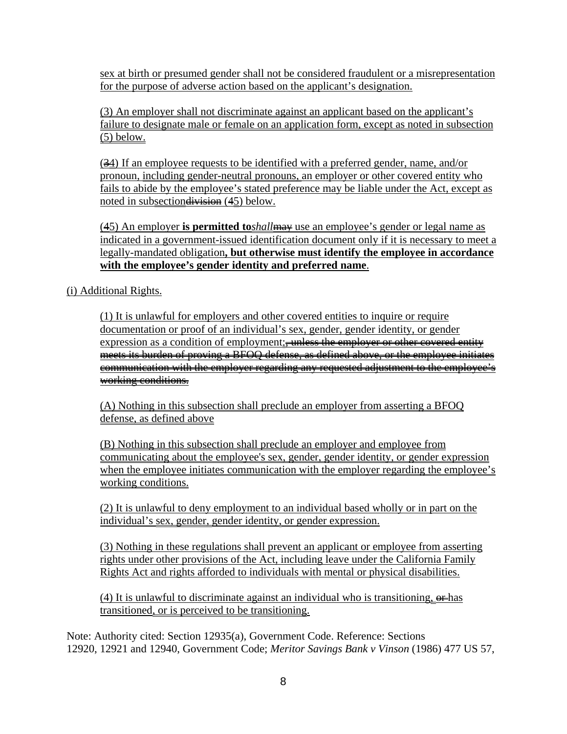sex at birth or presumed gender shall not be considered fraudulent or a misrepresentation for the purpose of adverse action based on the applicant's designation.

(3) An employer shall not discriminate against an applicant based on the applicant's failure to designate male or female on an application form, except as noted in subsection  $(5)$  below.

(34) If an employee requests to be identified with a preferred gender, name, and/or pronoun, including gender-neutral pronouns, an employer or other covered entity who fails to abide by the employee's stated preference may be liable under the Act, except as noted in subsection division (45) below.

(45) An employer **is permitted to***shall*may use an employee's gender or legal name as indicated in a government-issued identification document only if it is necessary to meet a legally-mandated obligation**, but otherwise must identify the employee in accordance with the employee's gender identity and preferred name**.

(i) Additional Rights.

(1) It is unlawful for employers and other covered entities to inquire or require documentation or proof of an individual's sex, gender, gender identity, or gender expression as a condition of employment: unless the employer or other covered entity meets its burden of proving a BFOQ defense, as defined above, or the employee initiates communication with the employer regarding any requested adjustment to the employee's working conditions.

(A) Nothing in this subsection shall preclude an employer from asserting a BFOQ defense, as defined above

(B) Nothing in this subsection shall preclude an employer and employee from communicating about the employee's sex, gender, gender identity, or gender expression when the employee initiates communication with the employer regarding the employee's working conditions.

(2) It is unlawful to deny employment to an individual based wholly or in part on the individual's sex, gender, gender identity, or gender expression.

(3) Nothing in these regulations shall prevent an applicant or employee from asserting rights under other provisions of the Act, including leave under the California Family Rights Act and rights afforded to individuals with mental or physical disabilities.

(4) It is unlawful to discriminate against an individual who is transitioning,  $\theta$ then has transitioned, or is perceived to be transitioning.

Note: Authority cited: Section 12935(a), Government Code. Reference: Sections 12920, 12921 and 12940, Government Code; *Meritor Savings Bank v Vinson* (1986) 477 US 57,